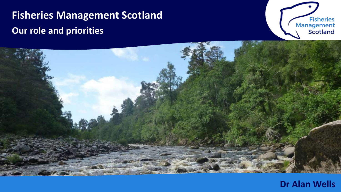### **Fisheries Management Scotland Our role and priorities**





### **Dr Alan Wells**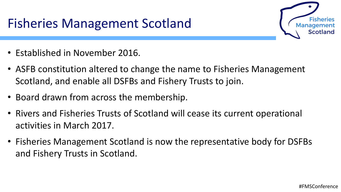

- Established in November 2016.
- ASFB constitution altered to change the name to Fisheries Management Scotland, and enable all DSFBs and Fishery Trusts to join.
- Board drawn from across the membership.
- Rivers and Fisheries Trusts of Scotland will cease its current operational activities in March 2017.
- Fisheries Management Scotland is now the representative body for DSFBs and Fishery Trusts in Scotland.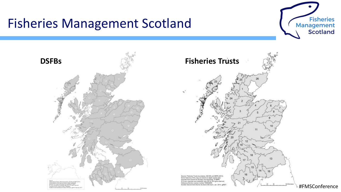



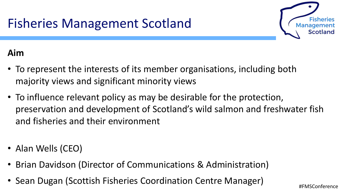

### **Aim**

- To represent the interests of its member organisations, including both majority views and significant minority views
- To influence relevant policy as may be desirable for the protection, preservation and development of Scotland's wild salmon and freshwater fish and fisheries and their environment
- Alan Wells (CEO)
- Brian Davidson (Director of Communications & Administration)
- Sean Dugan (Scottish Fisheries Coordination Centre Manager)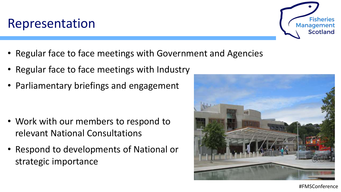- Representation
- Regular face to face meetings with Government and Agencies
- Regular face to face meetings with Industry
- Parliamentary briefings and engagement

- Work with our members to respond to relevant National Consultations
- Respond to developments of National or strategic importance



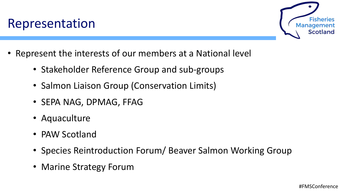# Representation



- Represent the interests of our members at a National level
	- Stakeholder Reference Group and sub-groups
	- Salmon Liaison Group (Conservation Limits)
	- SEPA NAG, DPMAG, FFAG
	- Aquaculture
	- PAW Scotland
	- Species Reintroduction Forum/ Beaver Salmon Working Group
	- Marine Strategy Forum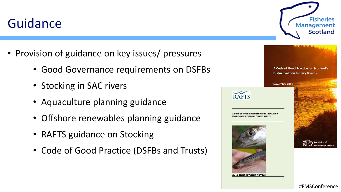# Guidance

- Provision of guidance on key issues/ pressures
	- Good Governance requirements on DSFBs
	- Stocking in SAC rivers
	- Aquaculture planning guidance
	- Offshore renewables planning guidance
	- RAFTS guidance on Stocking
	- Code of Good Practice (DSFBs and Trusts)



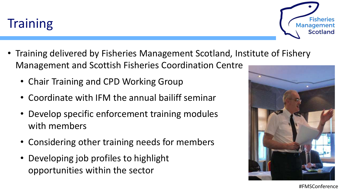- Training delivered by Fisheries Management Scotland, Institute of Fishery Management and Scottish Fisheries Coordination Centre
	- Chair Training and CPD Working Group
	- Coordinate with IFM the annual bailiff seminar
	- Develop specific enforcement training modules with members
	- Considering other training needs for members
	- Developing job profiles to highlight opportunities within the sector





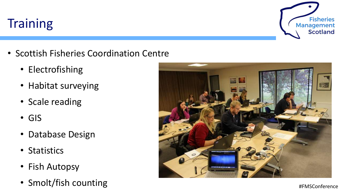**Training** 



- Scottish Fisheries Coordination Centre
	- Electrofishing
	- Habitat surveying
	- Scale reading
	- GIS
	- Database Design
	- Statistics
	- Fish Autopsy
	- Smolt/fish counting  $\bullet$  Smolt/fish counting

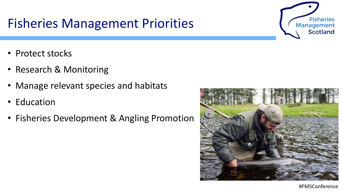# Fisheries Management Priorities

- Protect stocks
- Research & Monitoring
- Manage relevant species and habitats
- Education
- Fisheries Development & Angling Promotion



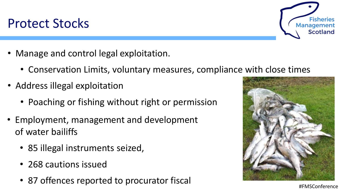### Protect Stocks

- Manage and control legal exploitation.
	- Conservation Limits, voluntary measures, compliance with close times
- Address illegal exploitation
	- Poaching or fishing without right or permission
- Employment, management and development of water bailiffs
	- 85 illegal instruments seized,
	- 268 cautions issued
	- 87 offences reported to procurator fiscal



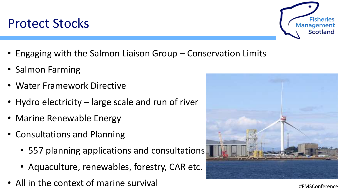# Protect Stocks

- Engaging with the Salmon Liaison Group Conservation Limits
- Salmon Farming
- Water Framework Directive
- Hydro electricity large scale and run of river
- Marine Renewable Energy
- Consultations and Planning
	- 557 planning applications and consultations
	- Aquaculture, renewables, forestry, CAR etc.
- All in the context of marine survival <br>  $\bullet$  All in the context of marine survival



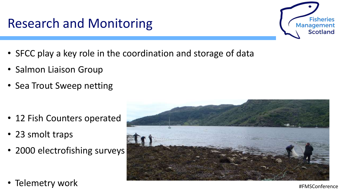# Research and Monitoring

- SFCC play a key role in the coordination and storage of data
- Salmon Liaison Group
- Sea Trout Sweep netting

- 12 Fish Counters operated
- 23 smolt traps
- 2000 electrofishing surveys





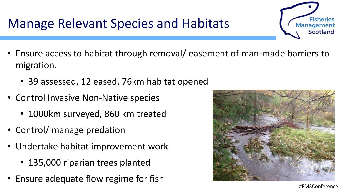# Manage Relevant Species and Habitats

- Ensure access to habitat through removal/ easement of man-made barriers to migration.
	- 39 assessed, 12 eased, 76km habitat opened
- Control Invasive Non-Native species
	- 1000km surveyed, 860 km treated
- Control/ manage predation
- Undertake habitat improvement work
	- 135,000 riparian trees planted
- Ensure adequate flow regime for fish



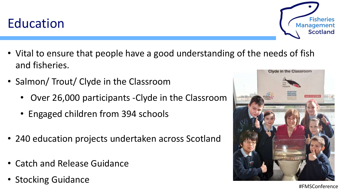- Vital to ensure that people have a good understanding of the needs of fish and fisheries.
- Salmon/ Trout/ Clyde in the Classroom
	- Over 26,000 participants -Clyde in the Classroom
	- Engaged children from 394 schools
- 240 education projects undertaken across Scotland
- Catch and Release Guidance
- Stocking Guidance

# Education



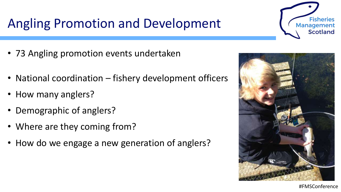# Angling Promotion and Development

- 73 Angling promotion events undertaken
- National coordination fishery development officers
- How many anglers?
- Demographic of anglers?
- Where are they coming from?
- How do we engage a new generation of anglers?